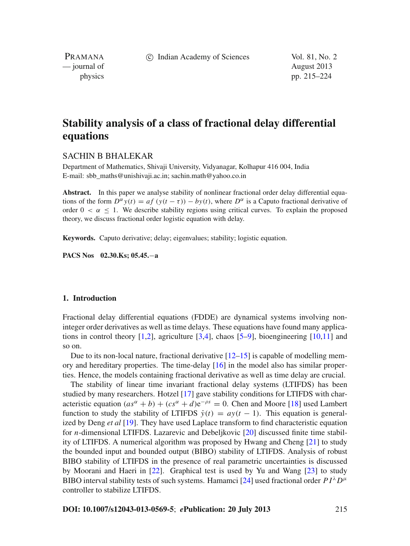c Indian Academy of Sciences Vol. 81, No. 2

PRAMANA — journal of August 2013

physics pp. 215–224

# **Stability analysis of a class of fractional delay differential equations**

# SACHIN B BHALEKAR

Department of Mathematics, Shivaji University, Vidyanagar, Kolhapur 416 004, India E-mail: sbb\_maths@unishivaji.ac.in; sachin.math@yahoo.co.in

**Abstract.** In this paper we analyse stability of nonlinear fractional order delay differential equations of the form  $D^{\alpha} y(t) = af (y(t - \tau)) - by(t)$ , where  $D^{\alpha}$  is a Caputo fractional derivative of order  $0 < \alpha < 1$ . We describe stability regions using critical curves. To explain the proposed theory, we discuss fractional order logistic equation with delay.

**Keywords.** Caputo derivative; delay; eigenvalues; stability; logistic equation.

**PACS Nos 02.30.Ks; 05.45.**−**a**

#### **1. Introduction**

Fractional delay differential equations (FDDE) are dynamical systems involving noninteger order derivatives as well as time delays. These equations have found many applications in control theory  $[1,2]$  $[1,2]$ , agriculture  $[3,4]$  $[3,4]$  $[3,4]$ , chaos  $[5-9]$  $[5-9]$ , bioengineering  $[10,11]$  $[10,11]$  $[10,11]$  and so on.

Due to its non-local nature, fractional derivative  $[12-15]$  $[12-15]$  is capable of modelling memory and hereditary properties. The time-delay  $[16]$  in the model also has similar properties. Hence, the models containing fractional derivative as well as time delay are crucial.

The stability of linear time invariant fractional delay systems (LTIFDS) has been studied by many researchers. Hotzel [\[17](#page-9-10)] gave stability conditions for LTIFDS with characteristic equation  $(as^{\alpha} + b) + (cs^{\alpha} + d)e^{-\rho s} = 0$ . Chen and Moore [\[18\]](#page-9-11) used Lambert function to study the stability of LTIFDS  $\dot{y}(t) = ay(t-1)$ . This equation is generalized by Deng *et al* [\[19](#page-9-12)]. They have used Laplace transform to find characteristic equation for *n*-dimensional LTIFDS. Lazarevic and Debeljkovic [\[20\]](#page-9-13) discussed finite time stability of LTIFDS. A numerical algorithm was proposed by Hwang and Cheng [\[21](#page-9-14)] to study the bounded input and bounded output (BIBO) stability of LTIFDS. Analysis of robust BIBO stability of LTIFDS in the presence of real parametric uncertainties is discussed by Moorani and Haeri in [\[22\]](#page-9-15). Graphical test is used by Yu and Wang [\[23\]](#page-9-16) to study BIBO interval stability tests of such systems. Hamamci [\[24](#page-9-17)] used fractional order  $PI^{\lambda}D^{\mu}$ controller to stabilize LTIFDS.

### **DOI: 10.1007/s12043-013-0569-5**; *e***Publication: 20 July 2013** 215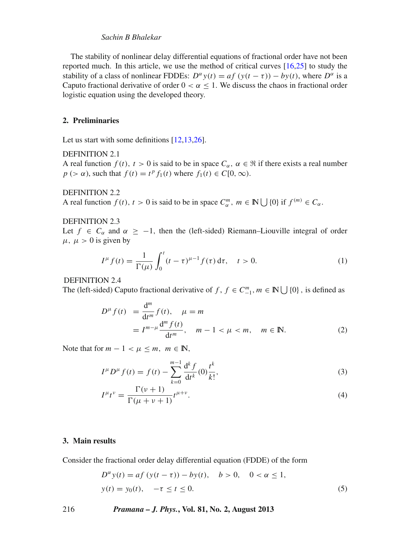# *Sachin B Bhalekar*

The stability of nonlinear delay differential equations of fractional order have not been reported much. In this article, we use the method of critical curves [\[16](#page-9-9)[,25](#page-9-18)] to study the stability of a class of nonlinear FDDEs:  $D^{\alpha} y(t) = af (y(t - \tau)) - by(t)$ , where  $D^{\alpha}$  is a Caputo fractional derivative of order  $0 < \alpha \leq 1$ . We discuss the chaos in fractional order logistic equation using the developed theory.

## **2. Preliminaries**

Let us start with some definitions [\[12](#page-9-7)[,13](#page-9-19)[,26](#page-9-20)].

### DEFINITION 2.1

A real function  $f(t)$ ,  $t > 0$  is said to be in space  $C_{\alpha}$ ,  $\alpha \in \mathbb{R}$  if there exists a real number  $p$  (>  $\alpha$ ), such that  $f(t) = t^p f_1(t)$  where  $f_1(t) \in C[0, \infty)$ .

DEFINITION 2.2

A real function  $f(t)$ ,  $t > 0$  is said to be in space  $C_{\alpha}^{m}$ ,  $m \in \mathbb{N} \cup \{0\}$  if  $f^{(m)} \in C_{\alpha}$ .

## DEFINITION 2.3

Let *f* ∈  $C_\alpha$  and  $\alpha$  ≥ −1, then the (left-sided) Riemann–Liouville integral of order  $\mu$ ,  $\mu > 0$  is given by

$$
I^{\mu} f(t) = \frac{1}{\Gamma(\mu)} \int_0^t (t - \tau)^{\mu - 1} f(\tau) d\tau, \quad t > 0.
$$
 (1)

DEFINITION 2.4

The (left-sided) Caputo fractional derivative of *f*,  $f \in C_{-1}^m$ ,  $m \in \mathbb{N} \cup \{0\}$ , is defined as

$$
D^{\mu} f(t) = \frac{d^{m}}{dt^{m}} f(t), \quad \mu = m
$$
  
=  $I^{m-\mu} \frac{d^{m} f(t)}{dt^{m}}, \quad m-1 < \mu < m, \quad m \in \mathbb{N}.$  (2)

Note that for  $m - 1 < \mu < m$ ,  $m \in \mathbb{N}$ ,

$$
I^{\mu}D^{\mu}f(t) = f(t) - \sum_{k=0}^{m-1} \frac{\mathrm{d}^k f}{\mathrm{d}t^k}(0) \frac{t^k}{k!},
$$
\n(3)

$$
I^{\mu}t^{\nu} = \frac{\Gamma(\nu+1)}{\Gamma(\mu+\nu+1)}t^{\mu+\nu}.
$$
\n(4)

## **3. Main results**

Consider the fractional order delay differential equation (FDDE) of the form

<span id="page-1-0"></span>
$$
D^{\alpha} y(t) = af (y(t - \tau)) - by(t), \quad b > 0, \quad 0 < \alpha \le 1,y(t) = y_0(t), \quad -\tau \le t \le 0.
$$
 (5)

216 *Pramana – J. Phys.***, Vol. 81, No. 2, August 2013**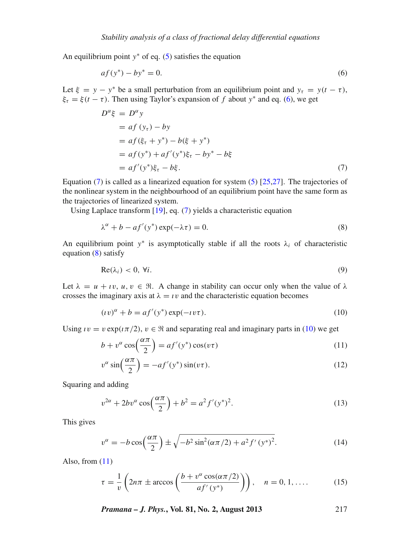An equilibrium point *y*<sup>∗</sup> of eq. [\(5\)](#page-1-0) satisfies the equation

<span id="page-2-0"></span>
$$
af(y^*) - by^* = 0.
$$
 (6)

Let  $\xi = y - y^*$  be a small perturbation from an equilibrium point and  $y_\tau = y(t - \tau)$ ,  $\xi_{\tau} = \xi(t - \tau)$ . Then using Taylor's expansion of *f* about *y*<sup>\*</sup> and eq. [\(6\)](#page-2-0), we get

<span id="page-2-1"></span>
$$
D^{\alpha}\xi = D^{\alpha}y
$$
  
= af (y<sub>\tau</sub>) - by  
= af (\xi\_{\tau} + y^\*) - b(\xi + y^\*)  
= af (y^\*) + af'(y^\*)\xi\_{\tau} - by^\* - b\xi  
= af'(y^\*)\xi\_{\tau} - b\xi. (7)

Equation [\(7\)](#page-2-1) is called as a linearized equation for system  $(5)$  [\[25](#page-9-18)[,27](#page-9-21)]. The trajectories of the nonlinear system in the neighbourhood of an equilibrium point have the same form as the trajectories of linearized system.

Using Laplace transform [\[19\]](#page-9-12), eq. [\(7\)](#page-2-1) yields a characteristic equation

<span id="page-2-2"></span>
$$
\lambda^{\alpha} + b - af'(y^*) \exp(-\lambda \tau) = 0.
$$
 (8)

An equilibrium point  $y^*$  is asymptotically stable if all the roots  $\lambda_i$  of characteristic equation [\(8\)](#page-2-2) satisfy

$$
Re(\lambda_i) < 0, \forall i. \tag{9}
$$

Let  $\lambda = u + iv, u, v \in \mathbb{R}$ . A change in stability can occur only when the value of  $\lambda$ crosses the imaginary axis at  $\lambda = \nu$  and the characteristic equation becomes

<span id="page-2-3"></span>
$$
(iv)^{\alpha} + b = af'(y^*) \exp(-iv\tau). \tag{10}
$$

Using  $\iota v = v \exp(i\pi/2), v \in \mathbb{R}$  and separating real and imaginary parts in [\(10\)](#page-2-3) we get

<span id="page-2-4"></span>
$$
b + v^{\alpha} \cos\left(\frac{\alpha \pi}{2}\right) = af'(y^*) \cos(v\tau)
$$
 (11)

$$
v^{\alpha}\sin\left(\frac{\alpha\pi}{2}\right) = -af'(y^*)\sin(v\tau). \tag{12}
$$

Squaring and adding

$$
v^{2\alpha} + 2bv^{\alpha}\cos\left(\frac{\alpha\pi}{2}\right) + b^2 = a^2f'(y^*)^2. \tag{13}
$$

This gives

<span id="page-2-5"></span>
$$
v^{\alpha} = -b\cos\left(\frac{\alpha\pi}{2}\right) \pm \sqrt{-b^2\sin^2(\alpha\pi/2) + a^2f'(y^*)^2}.
$$
 (14)

Also, from  $(11)$ 

$$
\tau = \frac{1}{v} \left( 2n\pi \pm \arccos\left(\frac{b + v^{\alpha} \cos(\alpha \pi/2)}{af'(y^*)}\right) \right), \quad n = 0, 1, .... \tag{15}
$$

*Pramana – J. Phys.***, Vol. 81, No. 2, August 2013** 217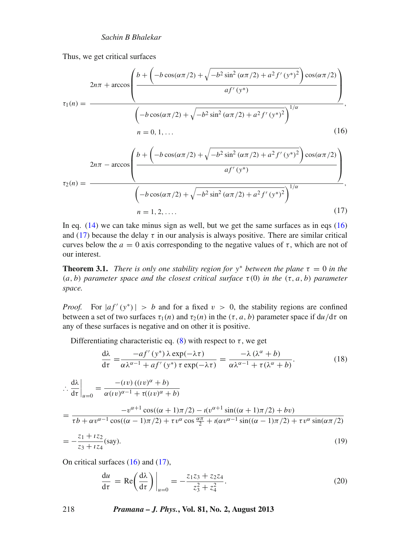Thus, we get critical surfaces

<span id="page-3-0"></span>
$$
\tau_{1}(n) = \frac{2n\pi + \arccos\left(\frac{b + \left(-b\cos(\alpha\pi/2) + \sqrt{-b^{2}\sin^{2}(\alpha\pi/2) + a^{2}f'(y^{*})^{2}}\right)\cos(\alpha\pi/2)}{af'(y^{*})}\right)}{\left(-b\cos(\alpha\pi/2) + \sqrt{-b^{2}\sin^{2}(\alpha\pi/2) + a^{2}f'(y^{*})^{2}}\right)^{1/\alpha}},
$$
\n
$$
n = 0, 1, ... \tag{16}
$$

<span id="page-3-1"></span>
$$
\tau_2(n) = \frac{2n\pi - \arccos\left(\frac{b + \left(-b\cos(\alpha\pi/2) + \sqrt{-b^2\sin^2(\alpha\pi/2) + a^2f'(y^*)^2}\right)\cos(\alpha\pi/2)}{af'(y^*)}\right)}{\left(-b\cos(\alpha\pi/2) + \sqrt{-b^2\sin^2(\alpha\pi/2) + a^2f'(y^*)^2}\right)^{1/\alpha}},
$$
\n
$$
n = 1, 2, .... \tag{17}
$$

In eq.  $(14)$  we can take minus sign as well, but we get the same surfaces as in eqs  $(16)$ and [\(17\)](#page-3-1) because the delay  $\tau$  in our analysis is always positive. There are similar critical curves below the  $a = 0$  axis corresponding to the negative values of  $\tau$ , which are not of our interest.

**Theorem 3.1.** *There is only one stability region for*  $y^*$  *between the plane*  $\tau = 0$  *in the* (*a*, *b*) *parameter space and the closest critical surface* τ(0) *in the* (τ, *a*, *b*) *parameter space.*

*Proof.* For  $|af'(y^*)| > b$  and for a fixed  $v > 0$ , the stability regions are confined between a set of two surfaces  $\tau_1(n)$  and  $\tau_2(n)$  in the  $(\tau, a, b)$  parameter space if  $du/d\tau$  on any of these surfaces is negative and on other it is positive.

Differentiating characteristic eq. [\(8\)](#page-2-2) with respect to  $\tau$ , we get

$$
\frac{d\lambda}{d\tau} = \frac{-af'(y^*)\lambda \exp(-\lambda \tau)}{\alpha \lambda^{\alpha-1} + af'(y^*) \tau \exp(-\lambda \tau)} = \frac{-\lambda (\lambda^{\alpha} + b)}{\alpha \lambda^{\alpha-1} + \tau (\lambda^{\alpha} + b)}.
$$
(18)

$$
\therefore \frac{d\lambda}{d\tau}\Big|_{u=0} = \frac{-(\iota v) ((\iota v)^{\alpha} + b)}{\alpha(\iota v)^{\alpha-1} + \tau((\iota v)^{\alpha} + b)}
$$
  
= 
$$
\frac{-v^{\alpha+1} \cos((\alpha+1)\pi/2) - \iota(v^{\alpha+1}\sin((\alpha+1)\pi/2) + bv)}{\tau b + \alpha v^{\alpha-1} \cos((\alpha-1)\pi/2) + \tau v^{\alpha} \cos\frac{\alpha\pi}{2} + \iota(\alpha v^{\alpha-1}\sin((\alpha-1)\pi/2) + \tau v^{\alpha} \sin(\alpha\pi/2))}
$$
  
= 
$$
-\frac{z_1 + iz_2}{z_3 + iz_4} (\text{say}).
$$
 (19)

On critical surfaces [\(16\)](#page-3-0) and [\(17\)](#page-3-1),

<span id="page-3-2"></span>
$$
\frac{du}{d\tau} = \text{Re}\left(\frac{d\lambda}{d\tau}\right)\bigg|_{u=0} = -\frac{z_1z_3 + z_2z_4}{z_3^2 + z_4^2}.\tag{20}
$$

218 *Pramana – J. Phys.***, Vol. 81, No. 2, August 2013**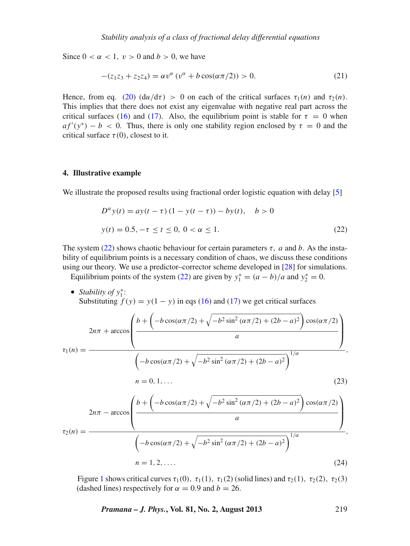Since  $0 < \alpha < 1$ ,  $v > 0$  and  $b > 0$ , we have

$$
-(z_1z_3 + z_2z_4) = \alpha v^{\alpha} (v^{\alpha} + b \cos(\alpha \pi/2)) > 0.
$$
 (21)

Hence, from eq. [\(20\)](#page-3-2)  $(\mathrm{d}u/\mathrm{d}\tau) > 0$  on each of the critical surfaces  $\tau_1(n)$  and  $\tau_2(n)$ . This implies that there does not exist any eigenvalue with negative real part across the critical surfaces [\(16\)](#page-3-0) and [\(17\)](#page-3-1). Also, the equilibrium point is stable for  $\tau = 0$  when  $af'(y^*) - b < 0$ . Thus, there is only one stability region enclosed by  $\tau = 0$  and the critical surface  $\tau(0)$ , closest to it.

#### **4. Illustrative example**

We illustrate the proposed results using fractional order logistic equation with delay [\[5](#page-9-3)]

<span id="page-4-0"></span>
$$
D^{\alpha} y(t) = ay(t - \tau) (1 - y(t - \tau)) - by(t), \quad b > 0
$$
  

$$
y(t) = 0.5, -\tau \le t \le 0, 0 < \alpha \le 1.
$$
 (22)

The system [\(22\)](#page-4-0) shows chaotic behaviour for certain parameters  $\tau$ , *a* and *b*. As the instability of equilibrium points is a necessary condition of chaos, we discuss these conditions using our theory. We use a predictor–corrector scheme developed in [\[28](#page-9-22)] for simulations. Equilibrium points of the system [\(22\)](#page-4-0) are given by  $y_1^* = (a - b)/a$  and  $y_2^* = 0$ .

• *Stability of y*<sup>∗</sup> 1 : Substituting  $f(y) = y(1 - y)$  in eqs [\(16\)](#page-3-0) and [\(17\)](#page-3-1) we get critical surfaces

$$
2n\pi + \arccos\left(\frac{b + \left(-b\cos(\alpha\pi/2) + \sqrt{-b^2\sin^2(\alpha\pi/2) + (2b - a)^2}\right)\cos(\alpha\pi/2)}{a}\right)
$$
  
\n
$$
\tau_1(n) = \frac{\left(-b\cos(\alpha\pi/2) + \sqrt{-b^2\sin^2(\alpha\pi/2) + (2b - a)^2}\right)^{1/\alpha}}{(1 - b\cos(\alpha\pi/2) + \sqrt{-b^2\sin^2(\alpha\pi/2) + (2b - a)^2})^{1/\alpha}}
$$
  
\n
$$
2n\pi - \arccos\left(\frac{b + \left(-b\cos(\alpha\pi/2) + \sqrt{-b^2\sin^2(\alpha\pi/2) + (2b - a)^2}\right)\cos(\alpha\pi/2)}{a}\right)
$$
  
\n
$$
\tau_2(n) = \frac{\left(-b\cos(\alpha\pi/2) + \sqrt{-b^2\sin^2(\alpha\pi/2) + (2b - a)^2}\right)^{1/\alpha}}{(1 - b\cos(\alpha\pi/2) + \sqrt{-b^2\sin^2(\alpha\pi/2) + (2b - a)^2})^{1/\alpha}}
$$
  
\n
$$
n = 1, 2, ....
$$
\n(24)

Figure [1](#page-5-0) shows critical curves  $\tau_1(0)$ ,  $\tau_1(1)$ ,  $\tau_1(2)$  (solid lines) and  $\tau_2(1)$ ,  $\tau_2(2)$ ,  $\tau_2(3)$ (dashed lines) respectively for  $\alpha = 0.9$  and  $b = 26$ .

*Pramana – J. Phys.***, Vol. 81, No. 2, August 2013** 219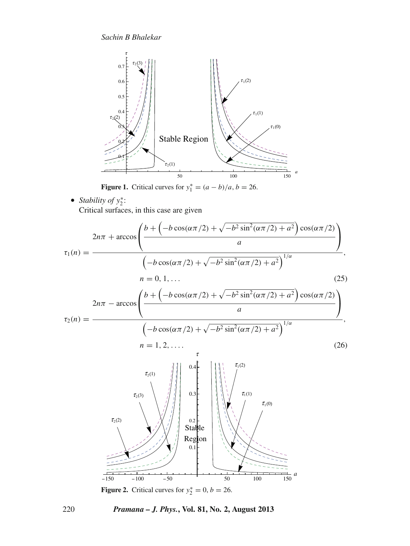*Sachin B Bhalekar*

<span id="page-5-0"></span>

**Figure 1.** Critical curves for  $y_1^* = (a - b)/a$ ,  $b = 26$ .

• *Stability of y*<sup>∗</sup> 2 : Critical surfaces, in this case are given



<span id="page-5-1"></span>**Figure 2.** Critical curves for  $y_2^* = 0$ ,  $b = 26$ .

## 220 *Pramana – J. Phys.***, Vol. 81, No. 2, August 2013**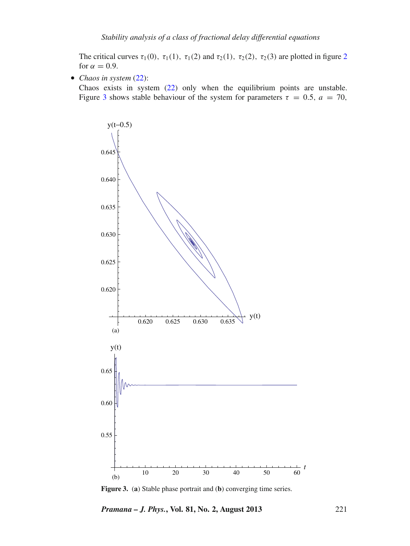The critical curves  $\tau_1(0)$ ,  $\tau_1(1)$ ,  $\tau_1(2)$  $\tau_1(2)$  $\tau_1(2)$  and  $\tau_2(1)$ ,  $\tau_2(2)$ ,  $\tau_2(3)$  are plotted in figure 2 for  $\alpha = 0.9$ .

• *Chaos in system* [\(22\)](#page-4-0):

Chaos exists in system [\(22\)](#page-4-0) only when the equilibrium points are unstable. Figure [3](#page-6-0) shows stable behaviour of the system for parameters  $\tau = 0.5$ ,  $a = 70$ ,

<span id="page-6-0"></span>

**Figure 3.** (**a**) Stable phase portrait and (**b**) converging time series.

*Pramana – J. Phys.***, Vol. 81, No. 2, August 2013** 221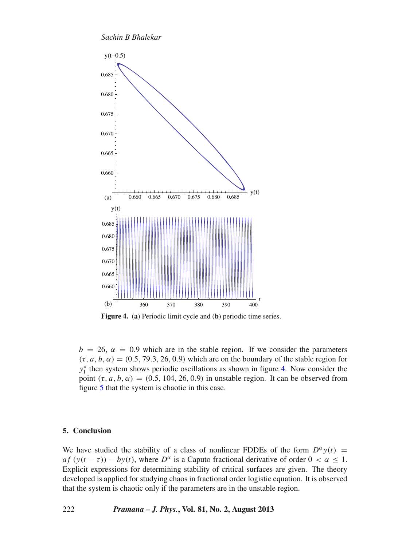*Sachin B Bhalekar*

<span id="page-7-0"></span>

**Figure 4.** (**a**) Periodic limit cycle and (**b**) periodic time series.

 $b = 26$ ,  $\alpha = 0.9$  which are in the stable region. If we consider the parameters  $(\tau, a, b, \alpha) = (0.5, 79.3, 26, 0.9)$  which are on the boundary of the stable region for *y*<sup>\*</sup><sub>1</sub> then system shows periodic oscillations as shown in figure [4.](#page-7-0) Now consider the point  $(\tau, a, b, \alpha) = (0.5, 104, 26, 0.9)$  in unstable region. It can be observed from figure [5](#page-8-1) that the system is chaotic in this case.

#### **5. Conclusion**

We have studied the stability of a class of nonlinear FDDEs of the form  $D^{\alpha} y(t) =$  $af(y(t - \tau)) - by(t)$ , where  $D^{\alpha}$  is a Caputo fractional derivative of order  $0 < \alpha \leq 1$ . Explicit expressions for determining stability of critical surfaces are given. The theory developed is applied for studying chaos in fractional order logistic equation. It is observed that the system is chaotic only if the parameters are in the unstable region.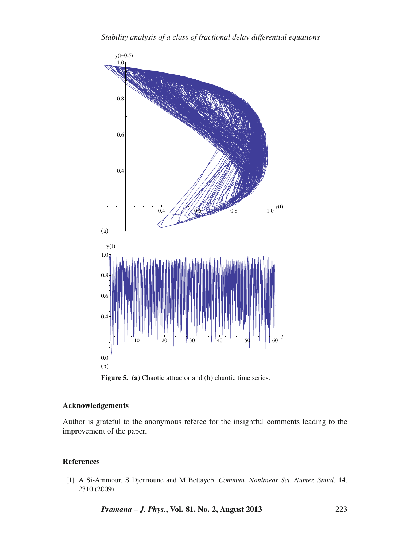<span id="page-8-1"></span>

**Figure 5.** (**a**) Chaotic attractor and (**b**) chaotic time series.

# **Acknowledgements**

Author is grateful to the anonymous referee for the insightful comments leading to the improvement of the paper.

# **References**

<span id="page-8-0"></span>[1] A Si-Ammour, S Djennoune and M Bettayeb, *Commun. Nonlinear Sci. Numer. Simul.* **14**, 2310 (2009)

*Pramana – J. Phys.***, Vol. 81, No. 2, August 2013** 223